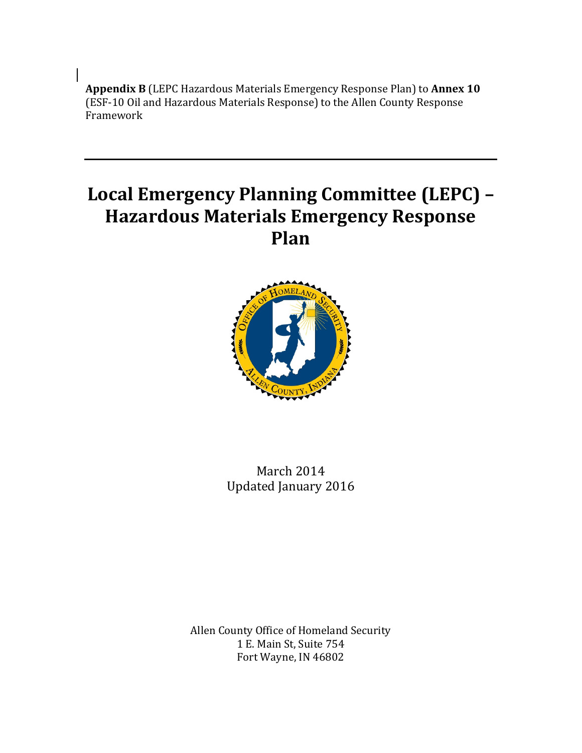**Appendix B** (LEPC Hazardous Materials Emergency Response Plan) to **Annex 10** (ESF-10 Oil and Hazardous Materials Response) to the Allen County Response Framework

# **Local Emergency Planning Committee (LEPC) – Hazardous Materials Emergency Response Plan**



March 2014 Updated January 2016

Allen County Office of Homeland Security 1 E. Main St, Suite 754 Fort Wayne, IN 46802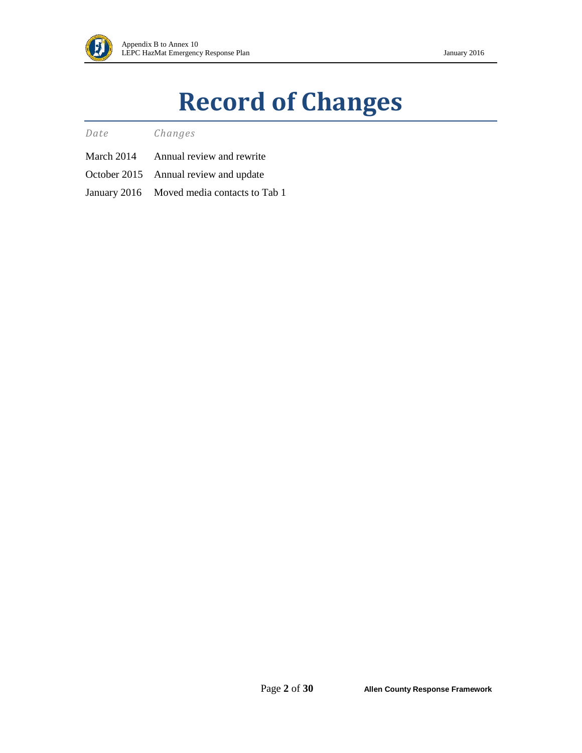

# **Record of Changes**

*Date Changes*

- March 2014 Annual review and rewrite
- October 2015 Annual review and update
- January 2016 Moved media contacts to Tab 1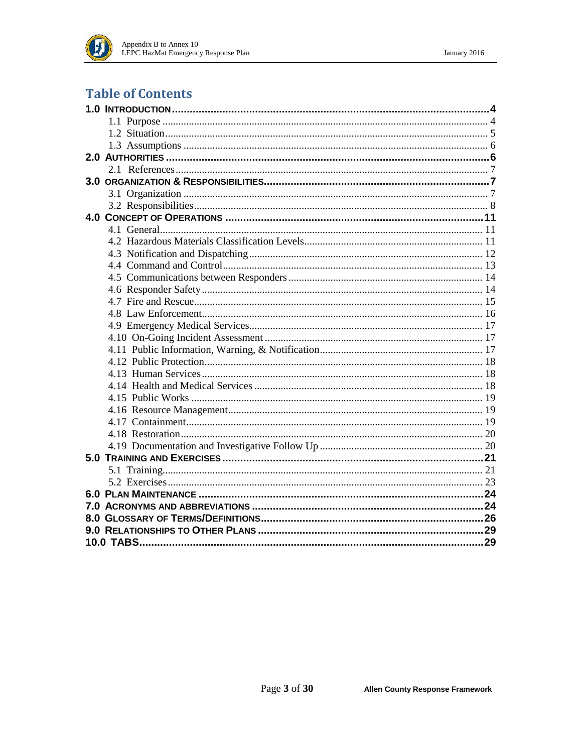

### **Table of Contents**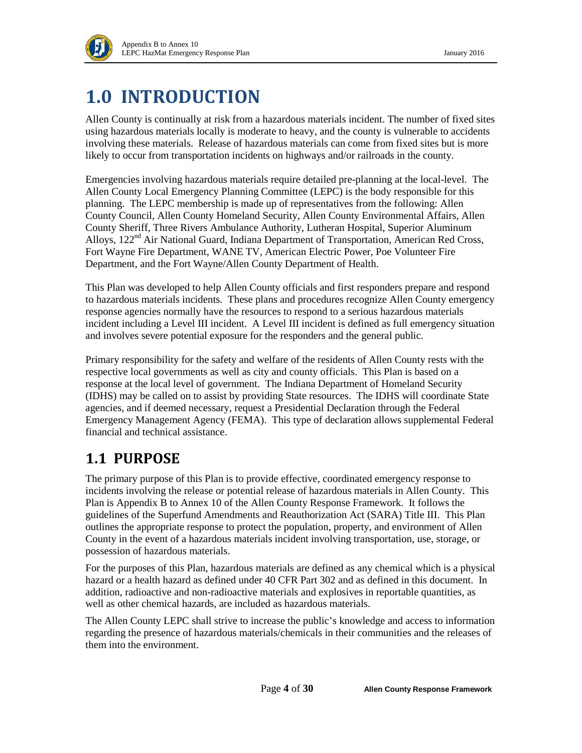

# <span id="page-3-0"></span>**1.0 INTRODUCTION**

Allen County is continually at risk from a hazardous materials incident. The number of fixed sites using hazardous materials locally is moderate to heavy, and the county is vulnerable to accidents involving these materials. Release of hazardous materials can come from fixed sites but is more likely to occur from transportation incidents on highways and/or railroads in the county.

Emergencies involving hazardous materials require detailed pre-planning at the local-level. The Allen County Local Emergency Planning Committee (LEPC) is the body responsible for this planning. The LEPC membership is made up of representatives from the following: Allen County Council, Allen County Homeland Security, Allen County Environmental Affairs, Allen County Sheriff, Three Rivers Ambulance Authority, Lutheran Hospital, Superior Aluminum Alloys, 122<sup>nd</sup> Air National Guard, Indiana Department of Transportation, American Red Cross, Fort Wayne Fire Department, WANE TV, American Electric Power, Poe Volunteer Fire Department, and the Fort Wayne/Allen County Department of Health.

This Plan was developed to help Allen County officials and first responders prepare and respond to hazardous materials incidents. These plans and procedures recognize Allen County emergency response agencies normally have the resources to respond to a serious hazardous materials incident including a Level III incident. A Level III incident is defined as full emergency situation and involves severe potential exposure for the responders and the general public.

Primary responsibility for the safety and welfare of the residents of Allen County rests with the respective local governments as well as city and county officials. This Plan is based on a response at the local level of government. The Indiana Department of Homeland Security (IDHS) may be called on to assist by providing State resources. The IDHS will coordinate State agencies, and if deemed necessary, request a Presidential Declaration through the Federal Emergency Management Agency (FEMA). This type of declaration allows supplemental Federal financial and technical assistance.

## <span id="page-3-1"></span>**1.1 PURPOSE**

The primary purpose of this Plan is to provide effective, coordinated emergency response to incidents involving the release or potential release of hazardous materials in Allen County. This Plan is Appendix B to Annex 10 of the Allen County Response Framework. It follows the guidelines of the Superfund Amendments and Reauthorization Act (SARA) Title III. This Plan outlines the appropriate response to protect the population, property, and environment of Allen County in the event of a hazardous materials incident involving transportation, use, storage, or possession of hazardous materials.

For the purposes of this Plan, hazardous materials are defined as any chemical which is a physical hazard or a health hazard as defined under 40 CFR Part 302 and as defined in this document. In addition, radioactive and non-radioactive materials and explosives in reportable quantities, as well as other chemical hazards, are included as hazardous materials.

The Allen County LEPC shall strive to increase the public's knowledge and access to information regarding the presence of hazardous materials/chemicals in their communities and the releases of them into the environment.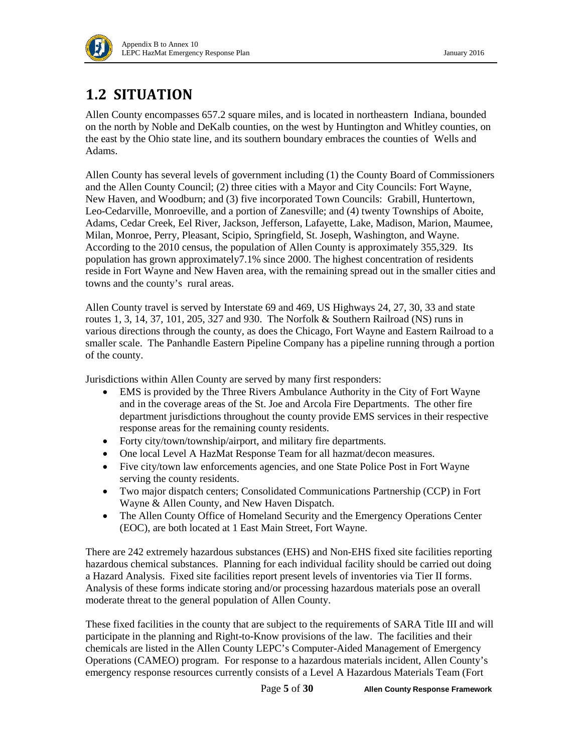

## <span id="page-4-0"></span>**1.2 SITUATION**

Allen County encompasses 657.2 square miles, and is located in northeastern Indiana, bounded on the north by Noble and DeKalb counties, on the west by Huntington and Whitley counties, on the east by the Ohio state line, and its southern boundary embraces the counties of Wells and Adams.

Allen County has several levels of government including (1) the County Board of Commissioners and the Allen County Council; (2) three cities with a Mayor and City Councils: Fort Wayne, New Haven, and Woodburn; and (3) five incorporated Town Councils: Grabill, Huntertown, Leo-Cedarville, Monroeville, and a portion of Zanesville; and (4) twenty Townships of Aboite, Adams, Cedar Creek, Eel River, Jackson, Jefferson, Lafayette, Lake, Madison, Marion, Maumee, Milan, Monroe, Perry, Pleasant, Scipio, Springfield, St. Joseph, Washington, and Wayne. According to the 2010 census, the population of Allen County is approximately 355,329. Its population has grown approximately7.1% since 2000. The highest concentration of residents reside in Fort Wayne and New Haven area, with the remaining spread out in the smaller cities and towns and the county's rural areas.

Allen County travel is served by Interstate 69 and 469, US Highways 24, 27, 30, 33 and state routes 1, 3, 14, 37, 101, 205, 327 and 930. The Norfolk & Southern Railroad (NS) runs in various directions through the county, as does the Chicago, Fort Wayne and Eastern Railroad to a smaller scale. The Panhandle Eastern Pipeline Company has a pipeline running through a portion of the county.

Jurisdictions within Allen County are served by many first responders:

- EMS is provided by the Three Rivers Ambulance Authority in the City of Fort Wayne and in the coverage areas of the St. Joe and Arcola Fire Departments. The other fire department jurisdictions throughout the county provide EMS services in their respective response areas for the remaining county residents.
- Forty city/town/township/airport, and military fire departments.
- One local Level A HazMat Response Team for all hazmat/decon measures.
- Five city/town law enforcements agencies, and one State Police Post in Fort Wayne serving the county residents.
- Two major dispatch centers; Consolidated Communications Partnership (CCP) in Fort Wayne & Allen County, and New Haven Dispatch.
- The Allen County Office of Homeland Security and the Emergency Operations Center (EOC), are both located at 1 East Main Street, Fort Wayne.

There are 242 extremely hazardous substances (EHS) and Non-EHS fixed site facilities reporting hazardous chemical substances. Planning for each individual facility should be carried out doing a Hazard Analysis. Fixed site facilities report present levels of inventories via Tier II forms. Analysis of these forms indicate storing and/or processing hazardous materials pose an overall moderate threat to the general population of Allen County.

These fixed facilities in the county that are subject to the requirements of SARA Title III and will participate in the planning and Right-to-Know provisions of the law. The facilities and their chemicals are listed in the Allen County LEPC's Computer-Aided Management of Emergency Operations (CAMEO) program. For response to a hazardous materials incident, Allen County's emergency response resources currently consists of a Level A Hazardous Materials Team (Fort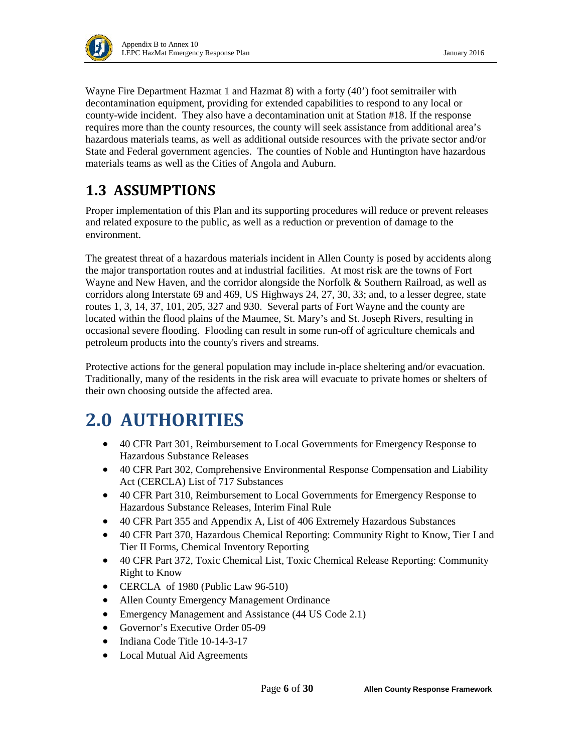

Wayne Fire Department Hazmat 1 and Hazmat 8) with a forty (40') foot semitrailer with decontamination equipment, providing for extended capabilities to respond to any local or county-wide incident. They also have a decontamination unit at Station #18. If the response requires more than the county resources, the county will seek assistance from additional area's hazardous materials teams, as well as additional outside resources with the private sector and/or State and Federal government agencies. The counties of Noble and Huntington have hazardous materials teams as well as the Cities of Angola and Auburn.

## <span id="page-5-0"></span>**1.3 ASSUMPTIONS**

Proper implementation of this Plan and its supporting procedures will reduce or prevent releases and related exposure to the public, as well as a reduction or prevention of damage to the environment.

The greatest threat of a hazardous materials incident in Allen County is posed by accidents along the major transportation routes and at industrial facilities. At most risk are the towns of Fort Wayne and New Haven, and the corridor alongside the Norfolk & Southern Railroad, as well as corridors along Interstate 69 and 469, US Highways 24, 27, 30, 33; and, to a lesser degree, state routes 1, 3, 14, 37, 101, 205, 327 and 930. Several parts of Fort Wayne and the county are located within the flood plains of the Maumee, St. Mary's and St. Joseph Rivers, resulting in occasional severe flooding. Flooding can result in some run-off of agriculture chemicals and petroleum products into the county's rivers and streams.

Protective actions for the general population may include in-place sheltering and/or evacuation. Traditionally, many of the residents in the risk area will evacuate to private homes or shelters of their own choosing outside the affected area.

# <span id="page-5-1"></span>**2.0 AUTHORITIES**

- 40 CFR Part 301, Reimbursement to Local Governments for Emergency Response to Hazardous Substance Releases
- 40 CFR Part 302, Comprehensive Environmental Response Compensation and Liability Act (CERCLA) List of 717 Substances
- 40 CFR Part 310, Reimbursement to Local Governments for Emergency Response to Hazardous Substance Releases, Interim Final Rule
- 40 CFR Part 355 and Appendix A, List of 406 Extremely Hazardous Substances
- 40 CFR Part 370, Hazardous Chemical Reporting: Community Right to Know, Tier I and Tier II Forms, Chemical Inventory Reporting
- 40 CFR Part 372, Toxic Chemical List, Toxic Chemical Release Reporting: Community Right to Know
- CERCLA of 1980 (Public Law 96-510)
- Allen County Emergency Management Ordinance
- Emergency Management and Assistance (44 US Code 2.1)
- Governor's Executive Order 05-09
- Indiana Code Title 10-14-3-17
- Local Mutual Aid Agreements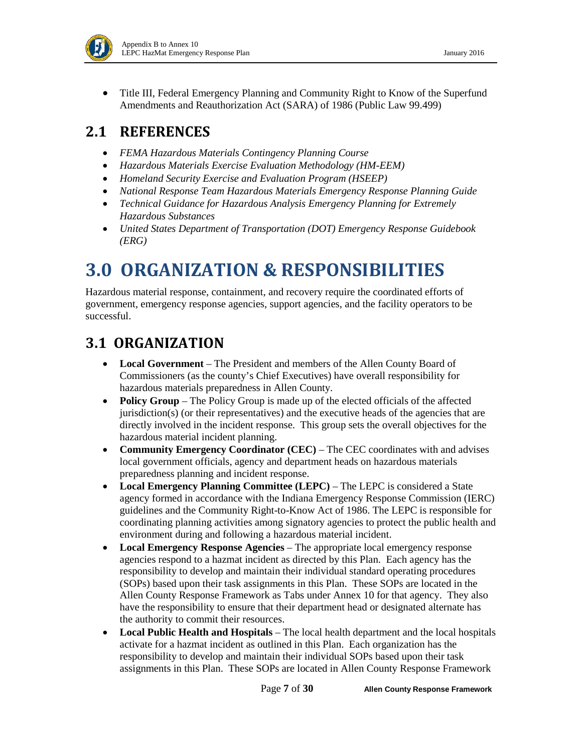

• Title III, Federal Emergency Planning and Community Right to Know of the Superfund Amendments and Reauthorization Act (SARA) of 1986 (Public Law 99.499)

### <span id="page-6-0"></span>**2.1 REFERENCES**

- *FEMA Hazardous Materials Contingency Planning Course*
- *Hazardous Materials Exercise Evaluation Methodology (HM-EEM)*
- *Homeland Security Exercise and Evaluation Program (HSEEP)*
- *National Response Team Hazardous Materials Emergency Response Planning Guide*
- *Technical Guidance for Hazardous Analysis Emergency Planning for Extremely Hazardous Substances*
- *United States Department of Transportation (DOT) Emergency Response Guidebook (ERG)*

# <span id="page-6-1"></span>**3.0 ORGANIZATION & RESPONSIBILITIES**

Hazardous material response, containment, and recovery require the coordinated efforts of government, emergency response agencies, support agencies, and the facility operators to be successful.

### <span id="page-6-2"></span>**3.1 ORGANIZATION**

- **Local Government** The President and members of the Allen County Board of Commissioners (as the county's Chief Executives) have overall responsibility for hazardous materials preparedness in Allen County.
- **Policy Group** The Policy Group is made up of the elected officials of the affected jurisdiction(s) (or their representatives) and the executive heads of the agencies that are directly involved in the incident response. This group sets the overall objectives for the hazardous material incident planning.
- **Community Emergency Coordinator (CEC)** The CEC coordinates with and advises local government officials, agency and department heads on hazardous materials preparedness planning and incident response.
- **Local Emergency Planning Committee (LEPC)** The LEPC is considered a State agency formed in accordance with the Indiana Emergency Response Commission (IERC) guidelines and the Community Right-to-Know Act of 1986. The LEPC is responsible for coordinating planning activities among signatory agencies to protect the public health and environment during and following a hazardous material incident.
- **Local Emergency Response Agencies** The appropriate local emergency response agencies respond to a hazmat incident as directed by this Plan. Each agency has the responsibility to develop and maintain their individual standard operating procedures (SOPs) based upon their task assignments in this Plan. These SOPs are located in the Allen County Response Framework as Tabs under Annex 10 for that agency. They also have the responsibility to ensure that their department head or designated alternate has the authority to commit their resources.
- **Local Public Health and Hospitals** The local health department and the local hospitals activate for a hazmat incident as outlined in this Plan. Each organization has the responsibility to develop and maintain their individual SOPs based upon their task assignments in this Plan. These SOPs are located in Allen County Response Framework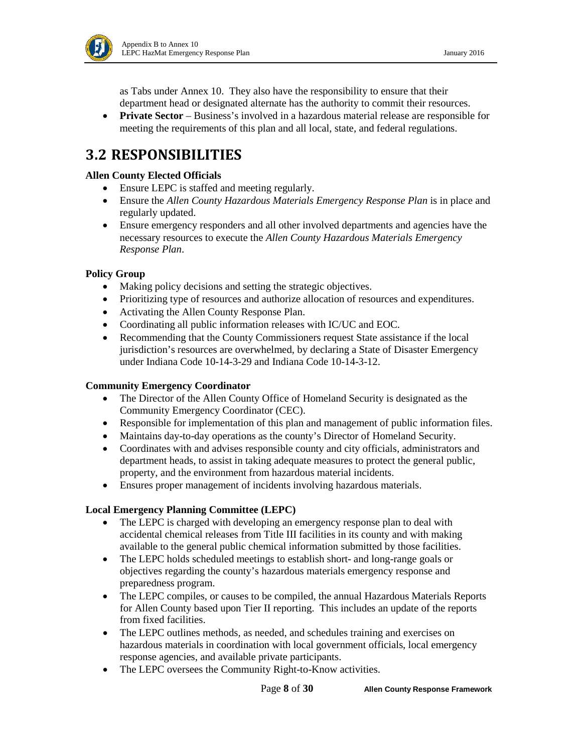

as Tabs under Annex 10. They also have the responsibility to ensure that their department head or designated alternate has the authority to commit their resources.

• **Private Sector** – Business's involved in a hazardous material release are responsible for meeting the requirements of this plan and all local, state, and federal regulations.

### <span id="page-7-0"></span>**3.2 RESPONSIBILITIES**

#### **Allen County Elected Officials**

- Ensure LEPC is staffed and meeting regularly.
- Ensure the *Allen County Hazardous Materials Emergency Response Plan* is in place and regularly updated.
- Ensure emergency responders and all other involved departments and agencies have the necessary resources to execute the *Allen County Hazardous Materials Emergency Response Plan*.

#### **Policy Group**

- Making policy decisions and setting the strategic objectives.
- Prioritizing type of resources and authorize allocation of resources and expenditures.
- Activating the Allen County Response Plan.
- Coordinating all public information releases with IC/UC and EOC.
- Recommending that the County Commissioners request State assistance if the local jurisdiction's resources are overwhelmed, by declaring a State of Disaster Emergency under Indiana Code 10-14-3-29 and Indiana Code 10-14-3-12.

#### **Community Emergency Coordinator**

- The Director of the Allen County Office of Homeland Security is designated as the Community Emergency Coordinator (CEC).
- Responsible for implementation of this plan and management of public information files.
- Maintains day-to-day operations as the county's Director of Homeland Security.
- Coordinates with and advises responsible county and city officials, administrators and department heads, to assist in taking adequate measures to protect the general public, property, and the environment from hazardous material incidents.
- Ensures proper management of incidents involving hazardous materials.

#### **Local Emergency Planning Committee (LEPC)**

- The LEPC is charged with developing an emergency response plan to deal with accidental chemical releases from Title III facilities in its county and with making available to the general public chemical information submitted by those facilities.
- The LEPC holds scheduled meetings to establish short- and long-range goals or objectives regarding the county's hazardous materials emergency response and preparedness program.
- The LEPC compiles, or causes to be compiled, the annual Hazardous Materials Reports for Allen County based upon Tier II reporting. This includes an update of the reports from fixed facilities.
- The LEPC outlines methods, as needed, and schedules training and exercises on hazardous materials in coordination with local government officials, local emergency response agencies, and available private participants.
- The LEPC oversees the Community Right-to-Know activities.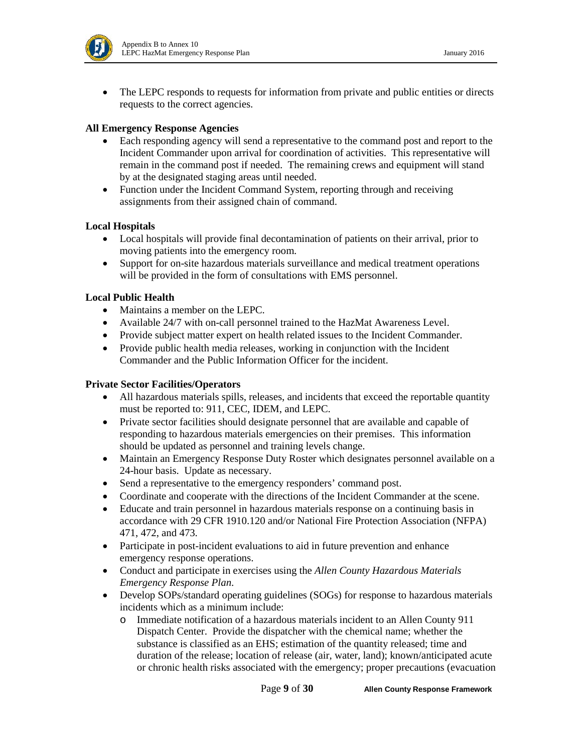

• The LEPC responds to requests for information from private and public entities or directs requests to the correct agencies.

#### **All Emergency Response Agencies**

- Each responding agency will send a representative to the command post and report to the Incident Commander upon arrival for coordination of activities. This representative will remain in the command post if needed. The remaining crews and equipment will stand by at the designated staging areas until needed.
- Function under the Incident Command System, reporting through and receiving assignments from their assigned chain of command.

#### **Local Hospitals**

- Local hospitals will provide final decontamination of patients on their arrival, prior to moving patients into the emergency room.
- Support for on-site hazardous materials surveillance and medical treatment operations will be provided in the form of consultations with EMS personnel.

#### **Local Public Health**

- Maintains a member on the LEPC.
- Available 24/7 with on-call personnel trained to the HazMat Awareness Level.
- Provide subject matter expert on health related issues to the Incident Commander.
- Provide public health media releases, working in conjunction with the Incident Commander and the Public Information Officer for the incident.

#### **Private Sector Facilities/Operators**

- All hazardous materials spills, releases, and incidents that exceed the reportable quantity must be reported to: 911, CEC, IDEM, and LEPC.
- Private sector facilities should designate personnel that are available and capable of responding to hazardous materials emergencies on their premises. This information should be updated as personnel and training levels change.
- Maintain an Emergency Response Duty Roster which designates personnel available on a 24-hour basis. Update as necessary.
- Send a representative to the emergency responders' command post.
- Coordinate and cooperate with the directions of the Incident Commander at the scene.
- Educate and train personnel in hazardous materials response on a continuing basis in accordance with 29 CFR 1910.120 and/or National Fire Protection Association (NFPA) 471, 472, and 473.
- Participate in post-incident evaluations to aid in future prevention and enhance emergency response operations.
- Conduct and participate in exercises using the *Allen County Hazardous Materials Emergency Response Plan*.
- Develop SOPs/standard operating guidelines (SOGs) for response to hazardous materials incidents which as a minimum include:
	- o Immediate notification of a hazardous materials incident to an Allen County 911 Dispatch Center. Provide the dispatcher with the chemical name; whether the substance is classified as an EHS; estimation of the quantity released; time and duration of the release; location of release (air, water, land); known/anticipated acute or chronic health risks associated with the emergency; proper precautions (evacuation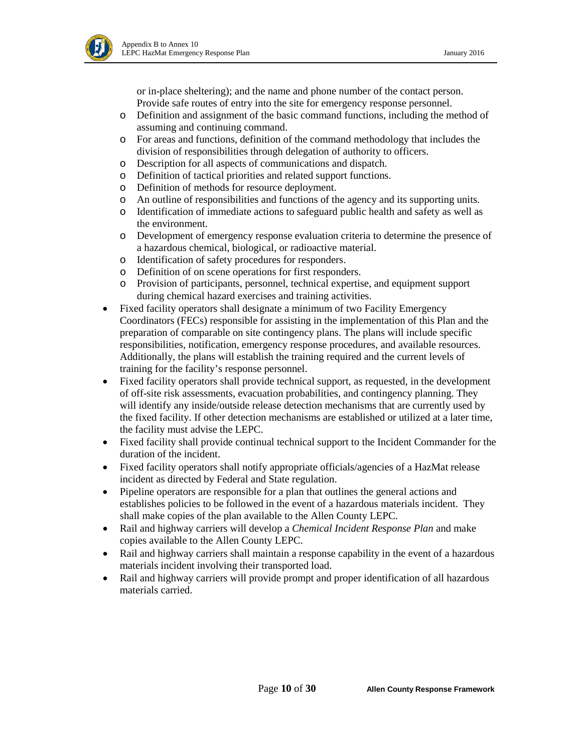

or in-place sheltering); and the name and phone number of the contact person. Provide safe routes of entry into the site for emergency response personnel.

- o Definition and assignment of the basic command functions, including the method of assuming and continuing command.
- o For areas and functions, definition of the command methodology that includes the division of responsibilities through delegation of authority to officers.
- o Description for all aspects of communications and dispatch.
- o Definition of tactical priorities and related support functions.
- o Definition of methods for resource deployment.
- o An outline of responsibilities and functions of the agency and its supporting units.
- o Identification of immediate actions to safeguard public health and safety as well as the environment.
- o Development of emergency response evaluation criteria to determine the presence of a hazardous chemical, biological, or radioactive material.
- o Identification of safety procedures for responders.
- o Definition of on scene operations for first responders.
- o Provision of participants, personnel, technical expertise, and equipment support during chemical hazard exercises and training activities.
- Fixed facility operators shall designate a minimum of two Facility Emergency Coordinators (FECs) responsible for assisting in the implementation of this Plan and the preparation of comparable on site contingency plans. The plans will include specific responsibilities, notification, emergency response procedures, and available resources. Additionally, the plans will establish the training required and the current levels of training for the facility's response personnel.
- Fixed facility operators shall provide technical support, as requested, in the development of off-site risk assessments, evacuation probabilities, and contingency planning. They will identify any inside/outside release detection mechanisms that are currently used by the fixed facility. If other detection mechanisms are established or utilized at a later time, the facility must advise the LEPC.
- Fixed facility shall provide continual technical support to the Incident Commander for the duration of the incident.
- Fixed facility operators shall notify appropriate officials/agencies of a HazMat release incident as directed by Federal and State regulation.
- Pipeline operators are responsible for a plan that outlines the general actions and establishes policies to be followed in the event of a hazardous materials incident. They shall make copies of the plan available to the Allen County LEPC.
- Rail and highway carriers will develop a *Chemical Incident Response Plan* and make copies available to the Allen County LEPC.
- Rail and highway carriers shall maintain a response capability in the event of a hazardous materials incident involving their transported load.
- Rail and highway carriers will provide prompt and proper identification of all hazardous materials carried.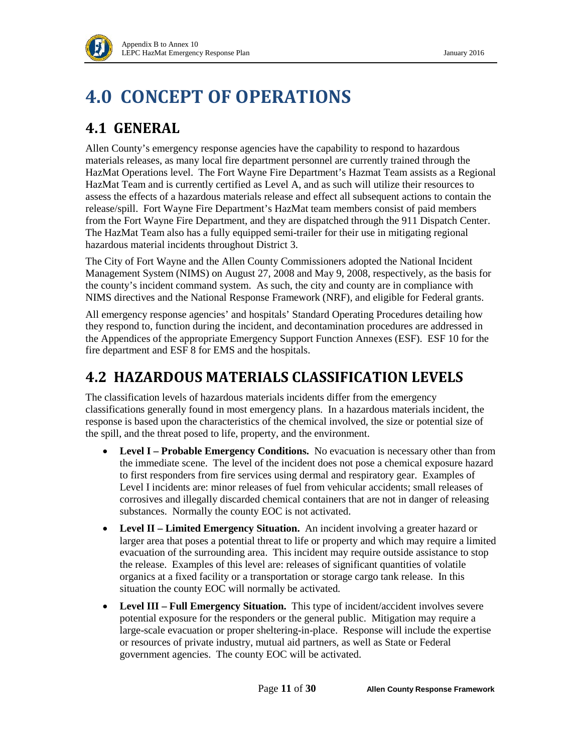# <span id="page-10-0"></span>**4.0 CONCEPT OF OPERATIONS**

## <span id="page-10-1"></span>**4.1 GENERAL**

Allen County's emergency response agencies have the capability to respond to hazardous materials releases, as many local fire department personnel are currently trained through the HazMat Operations level. The Fort Wayne Fire Department's Hazmat Team assists as a Regional HazMat Team and is currently certified as Level A, and as such will utilize their resources to assess the effects of a hazardous materials release and effect all subsequent actions to contain the release/spill. Fort Wayne Fire Department's HazMat team members consist of paid members from the Fort Wayne Fire Department, and they are dispatched through the 911 Dispatch Center. The HazMat Team also has a fully equipped semi-trailer for their use in mitigating regional hazardous material incidents throughout District 3.

The City of Fort Wayne and the Allen County Commissioners adopted the National Incident Management System (NIMS) on August 27, 2008 and May 9, 2008, respectively, as the basis for the county's incident command system. As such, the city and county are in compliance with NIMS directives and the National Response Framework (NRF), and eligible for Federal grants.

All emergency response agencies' and hospitals' Standard Operating Procedures detailing how they respond to, function during the incident, and decontamination procedures are addressed in the Appendices of the appropriate Emergency Support Function Annexes (ESF). ESF 10 for the fire department and ESF 8 for EMS and the hospitals.

## <span id="page-10-2"></span>**4.2 HAZARDOUS MATERIALS CLASSIFICATION LEVELS**

The classification levels of hazardous materials incidents differ from the emergency classifications generally found in most emergency plans. In a hazardous materials incident, the response is based upon the characteristics of the chemical involved, the size or potential size of the spill, and the threat posed to life, property, and the environment.

- **Level I – Probable Emergency Conditions.** No evacuation is necessary other than from the immediate scene. The level of the incident does not pose a chemical exposure hazard to first responders from fire services using dermal and respiratory gear. Examples of Level I incidents are: minor releases of fuel from vehicular accidents; small releases of corrosives and illegally discarded chemical containers that are not in danger of releasing substances. Normally the county EOC is not activated.
- **Level II – Limited Emergency Situation.** An incident involving a greater hazard or larger area that poses a potential threat to life or property and which may require a limited evacuation of the surrounding area. This incident may require outside assistance to stop the release. Examples of this level are: releases of significant quantities of volatile organics at a fixed facility or a transportation or storage cargo tank release. In this situation the county EOC will normally be activated.
- Level III **Full Emergency Situation.** This type of incident/accident involves severe potential exposure for the responders or the general public. Mitigation may require a large-scale evacuation or proper sheltering-in-place. Response will include the expertise or resources of private industry, mutual aid partners, as well as State or Federal government agencies. The county EOC will be activated.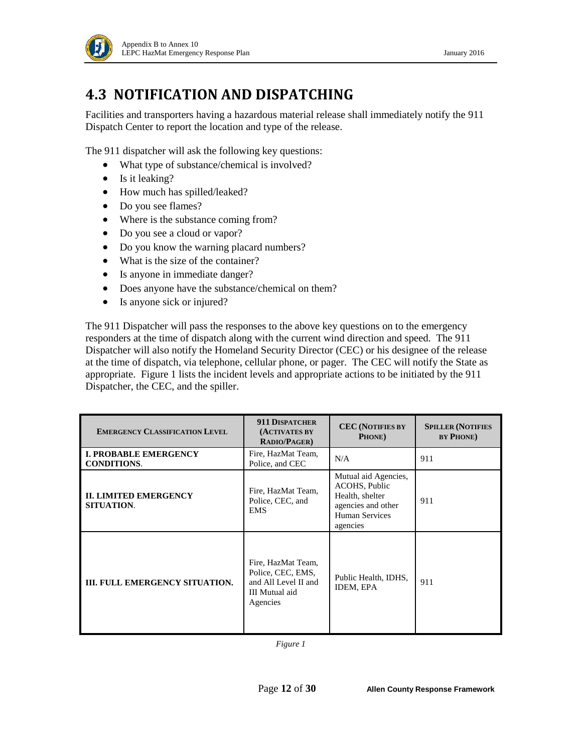

### <span id="page-11-0"></span>**4.3 NOTIFICATION AND DISPATCHING**

Facilities and transporters having a hazardous material release shall immediately notify the 911 Dispatch Center to report the location and type of the release.

The 911 dispatcher will ask the following key questions:

- What type of substance/chemical is involved?
- Is it leaking?
- How much has spilled/leaked?
- Do you see flames?
- Where is the substance coming from?
- Do you see a cloud or vapor?
- Do you know the warning placard numbers?
- What is the size of the container?
- Is anyone in immediate danger?
- Does anyone have the substance/chemical on them?
- Is anyone sick or injured?

The 911 Dispatcher will pass the responses to the above key questions on to the emergency responders at the time of dispatch along with the current wind direction and speed. The 911 Dispatcher will also notify the Homeland Security Director (CEC) or his designee of the release at the time of dispatch, via telephone, cellular phone, or pager. The CEC will notify the State as appropriate. Figure 1 lists the incident levels and appropriate actions to be initiated by the 911 Dispatcher, the CEC, and the spiller.

| <b>EMERGENCY CLASSIFICATION LEVEL</b>              | <b>911 DISPATCHER</b><br>(ACTIVATES BY<br><b>RADIO/PAGER)</b>                                 | <b>CEC</b> (NOTIFIES BY<br>PHONE)                                                                            | <b>SPILLER (NOTIFIES</b><br><b>BY PHONE</b> ) |
|----------------------------------------------------|-----------------------------------------------------------------------------------------------|--------------------------------------------------------------------------------------------------------------|-----------------------------------------------|
| <b>I. PROBABLE EMERGENCY</b><br><b>CONDITIONS.</b> | Fire, HazMat Team,<br>Police, and CEC                                                         | N/A                                                                                                          | 911                                           |
| <b>II. LIMITED EMERGENCY</b><br><b>SITUATION.</b>  | Fire, HazMat Team,<br>Police, CEC, and<br><b>EMS</b>                                          | Mutual aid Agencies,<br>ACOHS, Public<br>Health, shelter<br>agencies and other<br>Human Services<br>agencies | 911                                           |
| <b>III. FULL EMERGENCY SITUATION.</b>              | Fire, HazMat Team,<br>Police, CEC, EMS,<br>and All Level II and<br>III Mutual aid<br>Agencies | Public Health, IDHS,<br>IDEM, EPA                                                                            | 911                                           |

*Figure 1*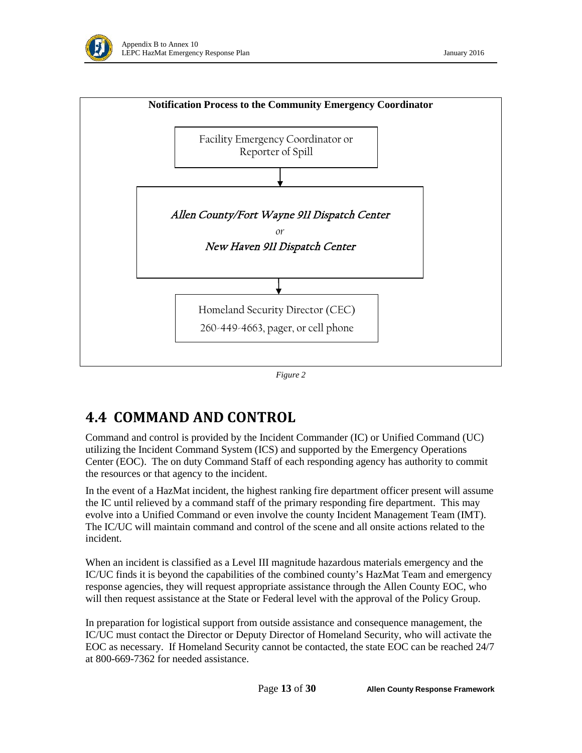



#### *Figure 2*

### <span id="page-12-0"></span>**4.4 COMMAND AND CONTROL**

Command and control is provided by the Incident Commander (IC) or Unified Command (UC) utilizing the Incident Command System (ICS) and supported by the Emergency Operations Center (EOC). The on duty Command Staff of each responding agency has authority to commit the resources or that agency to the incident.

In the event of a HazMat incident, the highest ranking fire department officer present will assume the IC until relieved by a command staff of the primary responding fire department. This may evolve into a Unified Command or even involve the county Incident Management Team (IMT). The IC/UC will maintain command and control of the scene and all onsite actions related to the incident.

When an incident is classified as a Level III magnitude hazardous materials emergency and the IC/UC finds it is beyond the capabilities of the combined county's HazMat Team and emergency response agencies, they will request appropriate assistance through the Allen County EOC, who will then request assistance at the State or Federal level with the approval of the Policy Group.

In preparation for logistical support from outside assistance and consequence management, the IC/UC must contact the Director or Deputy Director of Homeland Security, who will activate the EOC as necessary. If Homeland Security cannot be contacted, the state EOC can be reached 24/7 at 800-669-7362 for needed assistance.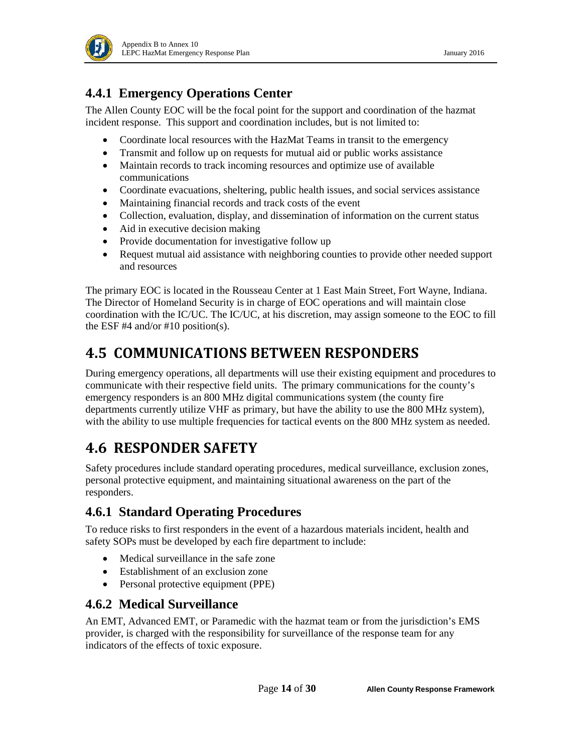

### **4.4.1 Emergency Operations Center**

The Allen County EOC will be the focal point for the support and coordination of the hazmat incident response. This support and coordination includes, but is not limited to:

- Coordinate local resources with the HazMat Teams in transit to the emergency
- Transmit and follow up on requests for mutual aid or public works assistance
- Maintain records to track incoming resources and optimize use of available communications
- Coordinate evacuations, sheltering, public health issues, and social services assistance
- Maintaining financial records and track costs of the event
- Collection, evaluation, display, and dissemination of information on the current status
- Aid in executive decision making
- Provide documentation for investigative follow up
- Request mutual aid assistance with neighboring counties to provide other needed support and resources

The primary EOC is located in the Rousseau Center at 1 East Main Street, Fort Wayne, Indiana. The Director of Homeland Security is in charge of EOC operations and will maintain close coordination with the IC/UC. The IC/UC, at his discretion, may assign someone to the EOC to fill the ESF  $#4$  and/or  $#10$  position(s).

### <span id="page-13-0"></span>**4.5 COMMUNICATIONS BETWEEN RESPONDERS**

During emergency operations, all departments will use their existing equipment and procedures to communicate with their respective field units. The primary communications for the county's emergency responders is an 800 MHz digital communications system (the county fire departments currently utilize VHF as primary, but have the ability to use the 800 MHz system), with the ability to use multiple frequencies for tactical events on the 800 MHz system as needed.

## <span id="page-13-1"></span>**4.6 RESPONDER SAFETY**

Safety procedures include standard operating procedures, medical surveillance, exclusion zones, personal protective equipment, and maintaining situational awareness on the part of the responders.

#### **4.6.1 Standard Operating Procedures**

To reduce risks to first responders in the event of a hazardous materials incident, health and safety SOPs must be developed by each fire department to include:

- Medical surveillance in the safe zone
- Establishment of an exclusion zone
- Personal protective equipment (PPE)

#### **4.6.2 Medical Surveillance**

An EMT, Advanced EMT, or Paramedic with the hazmat team or from the jurisdiction's EMS provider, is charged with the responsibility for surveillance of the response team for any indicators of the effects of toxic exposure.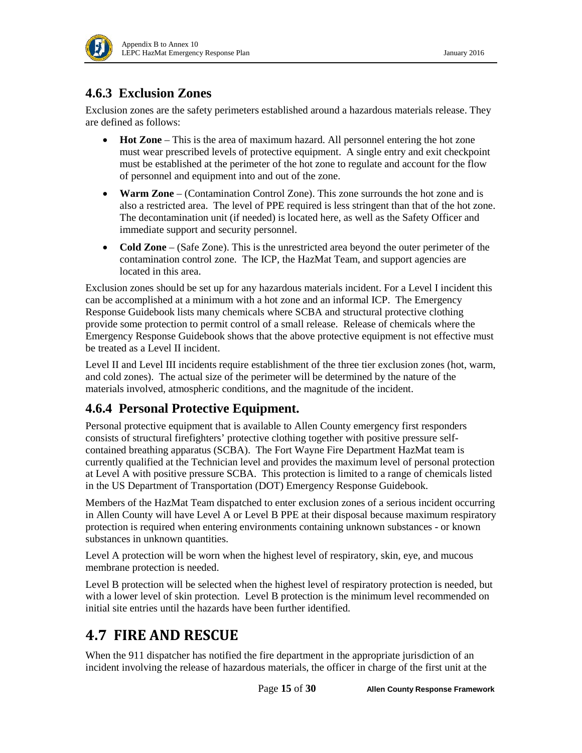

#### **4.6.3 Exclusion Zones**

Exclusion zones are the safety perimeters established around a hazardous materials release. They are defined as follows:

- **Hot Zone** This is the area of maximum hazard. All personnel entering the hot zone must wear prescribed levels of protective equipment. A single entry and exit checkpoint must be established at the perimeter of the hot zone to regulate and account for the flow of personnel and equipment into and out of the zone.
- **Warm Zone** (Contamination Control Zone). This zone surrounds the hot zone and is also a restricted area. The level of PPE required is less stringent than that of the hot zone. The decontamination unit (if needed) is located here, as well as the Safety Officer and immediate support and security personnel.
- **Cold Zone** (Safe Zone). This is the unrestricted area beyond the outer perimeter of the contamination control zone. The ICP, the HazMat Team, and support agencies are located in this area.

Exclusion zones should be set up for any hazardous materials incident. For a Level I incident this can be accomplished at a minimum with a hot zone and an informal ICP. The Emergency Response Guidebook lists many chemicals where SCBA and structural protective clothing provide some protection to permit control of a small release. Release of chemicals where the Emergency Response Guidebook shows that the above protective equipment is not effective must be treated as a Level II incident.

Level II and Level III incidents require establishment of the three tier exclusion zones (hot, warm, and cold zones). The actual size of the perimeter will be determined by the nature of the materials involved, atmospheric conditions, and the magnitude of the incident.

#### **4.6.4 Personal Protective Equipment.**

Personal protective equipment that is available to Allen County emergency first responders consists of structural firefighters' protective clothing together with positive pressure selfcontained breathing apparatus (SCBA). The Fort Wayne Fire Department HazMat team is currently qualified at the Technician level and provides the maximum level of personal protection at Level A with positive pressure SCBA. This protection is limited to a range of chemicals listed in the US Department of Transportation (DOT) Emergency Response Guidebook.

Members of the HazMat Team dispatched to enter exclusion zones of a serious incident occurring in Allen County will have Level A or Level B PPE at their disposal because maximum respiratory protection is required when entering environments containing unknown substances - or known substances in unknown quantities.

Level A protection will be worn when the highest level of respiratory, skin, eye, and mucous membrane protection is needed.

Level B protection will be selected when the highest level of respiratory protection is needed, but with a lower level of skin protection. Level B protection is the minimum level recommended on initial site entries until the hazards have been further identified.

### <span id="page-14-0"></span>**4.7 FIRE AND RESCUE**

When the 911 dispatcher has notified the fire department in the appropriate jurisdiction of an incident involving the release of hazardous materials, the officer in charge of the first unit at the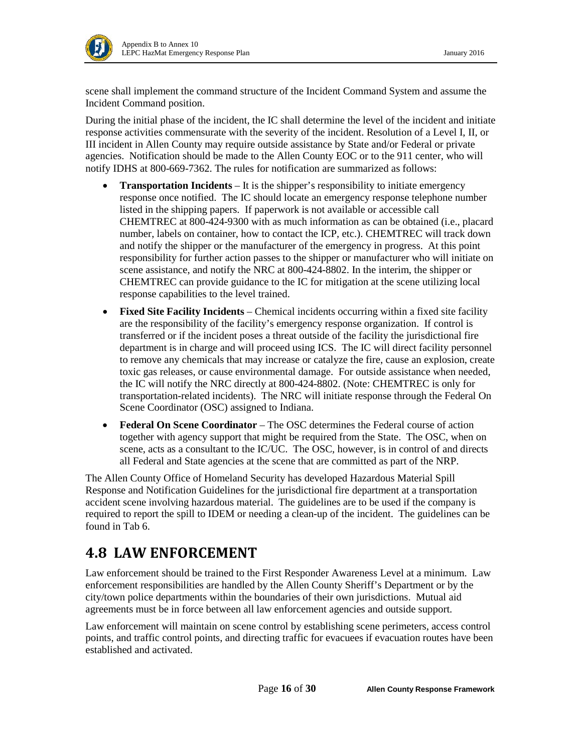Į

scene shall implement the command structure of the Incident Command System and assume the Incident Command position.

During the initial phase of the incident, the IC shall determine the level of the incident and initiate response activities commensurate with the severity of the incident. Resolution of a Level I, II, or III incident in Allen County may require outside assistance by State and/or Federal or private agencies. Notification should be made to the Allen County EOC or to the 911 center, who will notify IDHS at 800-669-7362. The rules for notification are summarized as follows:

- **Transportation Incidents** It is the shipper's responsibility to initiate emergency response once notified. The IC should locate an emergency response telephone number listed in the shipping papers. If paperwork is not available or accessible call CHEMTREC at 800-424-9300 with as much information as can be obtained (i.e., placard number, labels on container, how to contact the ICP, etc.). CHEMTREC will track down and notify the shipper or the manufacturer of the emergency in progress. At this point responsibility for further action passes to the shipper or manufacturer who will initiate on scene assistance, and notify the NRC at 800-424-8802. In the interim, the shipper or CHEMTREC can provide guidance to the IC for mitigation at the scene utilizing local response capabilities to the level trained.
- **Fixed Site Facility Incidents** Chemical incidents occurring within a fixed site facility are the responsibility of the facility's emergency response organization. If control is transferred or if the incident poses a threat outside of the facility the jurisdictional fire department is in charge and will proceed using ICS. The IC will direct facility personnel to remove any chemicals that may increase or catalyze the fire, cause an explosion, create toxic gas releases, or cause environmental damage. For outside assistance when needed, the IC will notify the NRC directly at 800-424-8802. (Note: CHEMTREC is only for transportation-related incidents). The NRC will initiate response through the Federal On Scene Coordinator (OSC) assigned to Indiana.
- **Federal On Scene Coordinator** The OSC determines the Federal course of action together with agency support that might be required from the State. The OSC, when on scene, acts as a consultant to the IC/UC. The OSC, however, is in control of and directs all Federal and State agencies at the scene that are committed as part of the NRP.

The Allen County Office of Homeland Security has developed Hazardous Material Spill Response and Notification Guidelines for the jurisdictional fire department at a transportation accident scene involving hazardous material. The guidelines are to be used if the company is required to report the spill to IDEM or needing a clean-up of the incident. The guidelines can be found in Tab 6.

### <span id="page-15-0"></span>**4.8 LAW ENFORCEMENT**

Law enforcement should be trained to the First Responder Awareness Level at a minimum. Law enforcement responsibilities are handled by the Allen County Sheriff's Department or by the city/town police departments within the boundaries of their own jurisdictions. Mutual aid agreements must be in force between all law enforcement agencies and outside support.

Law enforcement will maintain on scene control by establishing scene perimeters, access control points, and traffic control points, and directing traffic for evacuees if evacuation routes have been established and activated.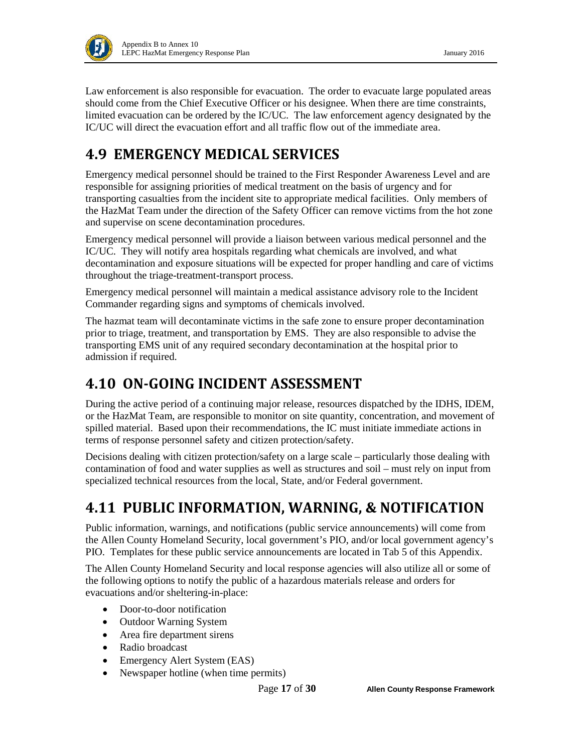

Law enforcement is also responsible for evacuation. The order to evacuate large populated areas should come from the Chief Executive Officer or his designee. When there are time constraints, limited evacuation can be ordered by the IC/UC. The law enforcement agency designated by the IC/UC will direct the evacuation effort and all traffic flow out of the immediate area.

## <span id="page-16-0"></span>**4.9 EMERGENCY MEDICAL SERVICES**

Emergency medical personnel should be trained to the First Responder Awareness Level and are responsible for assigning priorities of medical treatment on the basis of urgency and for transporting casualties from the incident site to appropriate medical facilities. Only members of the HazMat Team under the direction of the Safety Officer can remove victims from the hot zone and supervise on scene decontamination procedures.

Emergency medical personnel will provide a liaison between various medical personnel and the IC/UC. They will notify area hospitals regarding what chemicals are involved, and what decontamination and exposure situations will be expected for proper handling and care of victims throughout the triage-treatment-transport process.

Emergency medical personnel will maintain a medical assistance advisory role to the Incident Commander regarding signs and symptoms of chemicals involved.

The hazmat team will decontaminate victims in the safe zone to ensure proper decontamination prior to triage, treatment, and transportation by EMS. They are also responsible to advise the transporting EMS unit of any required secondary decontamination at the hospital prior to admission if required.

### <span id="page-16-1"></span>**4.10 ON-GOING INCIDENT ASSESSMENT**

During the active period of a continuing major release, resources dispatched by the IDHS, IDEM, or the HazMat Team, are responsible to monitor on site quantity, concentration, and movement of spilled material. Based upon their recommendations, the IC must initiate immediate actions in terms of response personnel safety and citizen protection/safety.

Decisions dealing with citizen protection/safety on a large scale – particularly those dealing with contamination of food and water supplies as well as structures and soil – must rely on input from specialized technical resources from the local, State, and/or Federal government.

## <span id="page-16-2"></span>**4.11 PUBLIC INFORMATION, WARNING, & NOTIFICATION**

Public information, warnings, and notifications (public service announcements) will come from the Allen County Homeland Security, local government's PIO, and/or local government agency's PIO. Templates for these public service announcements are located in Tab 5 of this Appendix.

The Allen County Homeland Security and local response agencies will also utilize all or some of the following options to notify the public of a hazardous materials release and orders for evacuations and/or sheltering-in-place:

- Door-to-door notification
- Outdoor Warning System
- Area fire department sirens
- Radio broadcast
- Emergency Alert System (EAS)
- Newspaper hotline (when time permits)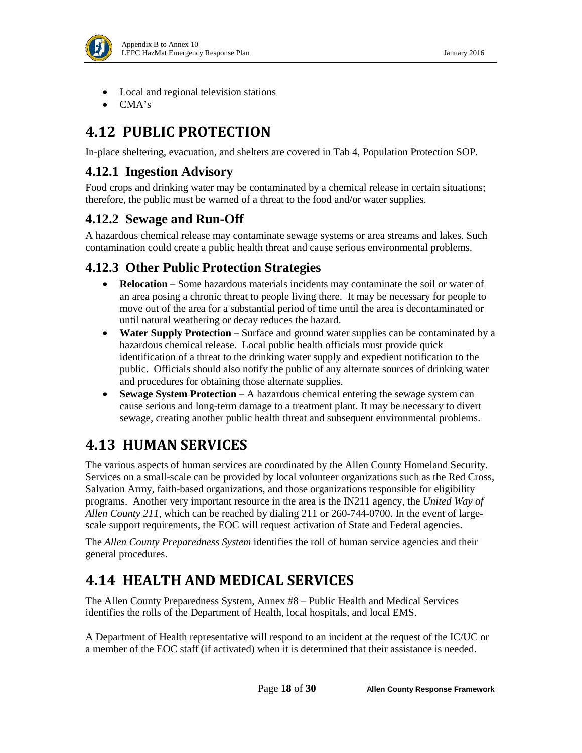

- Local and regional television stations
- CMA's

## <span id="page-17-0"></span>**4.12 PUBLIC PROTECTION**

In-place sheltering, evacuation, and shelters are covered in Tab 4, Population Protection SOP.

#### **4.12.1 Ingestion Advisory**

Food crops and drinking water may be contaminated by a chemical release in certain situations; therefore, the public must be warned of a threat to the food and/or water supplies.

#### **4.12.2 Sewage and Run-Off**

A hazardous chemical release may contaminate sewage systems or area streams and lakes. Such contamination could create a public health threat and cause serious environmental problems.

#### **4.12.3 Other Public Protection Strategies**

- **Relocation** Some hazardous materials incidents may contaminate the soil or water of an area posing a chronic threat to people living there. It may be necessary for people to move out of the area for a substantial period of time until the area is decontaminated or until natural weathering or decay reduces the hazard.
- **Water Supply Protection** Surface and ground water supplies can be contaminated by a hazardous chemical release. Local public health officials must provide quick identification of a threat to the drinking water supply and expedient notification to the public. Officials should also notify the public of any alternate sources of drinking water and procedures for obtaining those alternate supplies.
- **Sewage System Protection –** A hazardous chemical entering the sewage system can cause serious and long-term damage to a treatment plant. It may be necessary to divert sewage, creating another public health threat and subsequent environmental problems.

## <span id="page-17-1"></span>**4.13 HUMAN SERVICES**

The various aspects of human services are coordinated by the Allen County Homeland Security. Services on a small-scale can be provided by local volunteer organizations such as the Red Cross, Salvation Army, faith-based organizations, and those organizations responsible for eligibility programs. Another very important resource in the area is the IN211 agency, the *United Way of Allen County 211*, which can be reached by dialing 211 or 260-744-0700. In the event of largescale support requirements, the EOC will request activation of State and Federal agencies.

The *Allen County Preparedness System* identifies the roll of human service agencies and their general procedures.

## <span id="page-17-2"></span>**4.14 HEALTH AND MEDICAL SERVICES**

The Allen County Preparedness System, Annex #8 – Public Health and Medical Services identifies the rolls of the Department of Health, local hospitals, and local EMS.

A Department of Health representative will respond to an incident at the request of the IC/UC or a member of the EOC staff (if activated) when it is determined that their assistance is needed.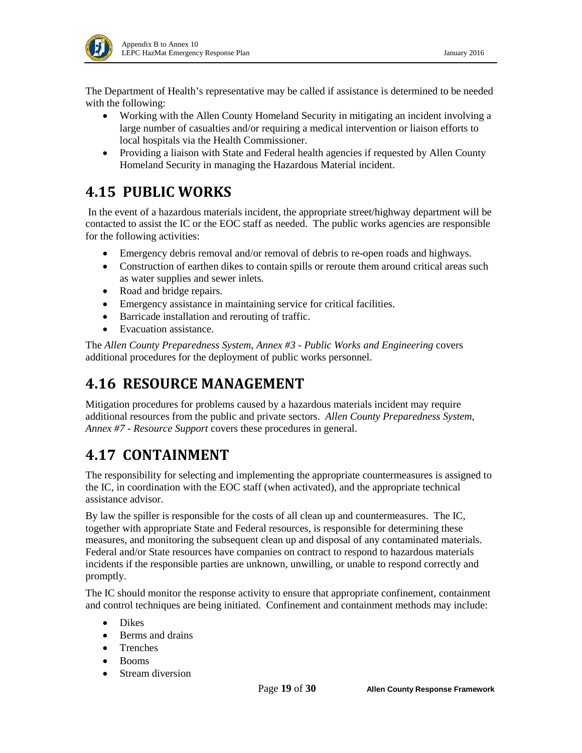

The Department of Health's representative may be called if assistance is determined to be needed with the following:

- Working with the Allen County Homeland Security in mitigating an incident involving a large number of casualties and/or requiring a medical intervention or liaison efforts to local hospitals via the Health Commissioner.
- Providing a liaison with State and Federal health agencies if requested by Allen County Homeland Security in managing the Hazardous Material incident.

## <span id="page-18-0"></span>**4.15 PUBLIC WORKS**

In the event of a hazardous materials incident, the appropriate street/highway department will be contacted to assist the IC or the EOC staff as needed. The public works agencies are responsible for the following activities:

- Emergency debris removal and/or removal of debris to re-open roads and highways.
- Construction of earthen dikes to contain spills or reroute them around critical areas such as water supplies and sewer inlets.
- Road and bridge repairs.
- Emergency assistance in maintaining service for critical facilities.
- Barricade installation and rerouting of traffic.
- Evacuation assistance.

The *Allen County Preparedness System*, *Annex #3 - Public Works and Engineering* covers additional procedures for the deployment of public works personnel.

## <span id="page-18-1"></span>**4.16 RESOURCE MANAGEMENT**

Mitigation procedures for problems caused by a hazardous materials incident may require additional resources from the public and private sectors. *Allen County Preparedness System, Annex #7 - Resource Support* covers these procedures in general.

## <span id="page-18-2"></span>**4.17 CONTAINMENT**

The responsibility for selecting and implementing the appropriate countermeasures is assigned to the IC, in coordination with the EOC staff (when activated), and the appropriate technical assistance advisor.

By law the spiller is responsible for the costs of all clean up and countermeasures. The IC, together with appropriate State and Federal resources, is responsible for determining these measures, and monitoring the subsequent clean up and disposal of any contaminated materials. Federal and/or State resources have companies on contract to respond to hazardous materials incidents if the responsible parties are unknown, unwilling, or unable to respond correctly and promptly.

The IC should monitor the response activity to ensure that appropriate confinement, containment and control techniques are being initiated. Confinement and containment methods may include:

- Dikes
- Berms and drains
- Trenches
- Booms
- Stream diversion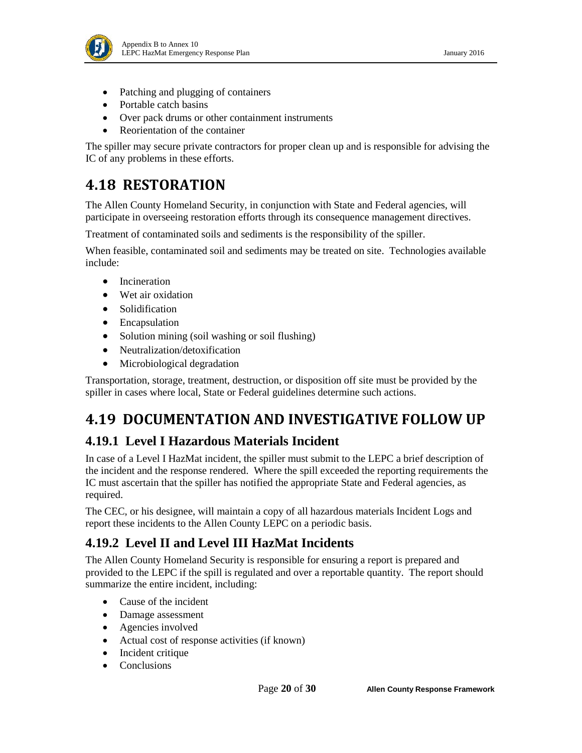

- Patching and plugging of containers
- Portable catch basins
- Over pack drums or other containment instruments
- Reorientation of the container

The spiller may secure private contractors for proper clean up and is responsible for advising the IC of any problems in these efforts.

### <span id="page-19-0"></span>**4.18 RESTORATION**

The Allen County Homeland Security, in conjunction with State and Federal agencies, will participate in overseeing restoration efforts through its consequence management directives.

Treatment of contaminated soils and sediments is the responsibility of the spiller.

When feasible, contaminated soil and sediments may be treated on site. Technologies available include:

- Incineration
- Wet air oxidation
- Solidification
- Encapsulation
- Solution mining (soil washing or soil flushing)
- Neutralization/detoxification
- Microbiological degradation

Transportation, storage, treatment, destruction, or disposition off site must be provided by the spiller in cases where local, State or Federal guidelines determine such actions.

## <span id="page-19-1"></span>**4.19 DOCUMENTATION AND INVESTIGATIVE FOLLOW UP**

#### **4.19.1 Level I Hazardous Materials Incident**

In case of a Level I HazMat incident, the spiller must submit to the LEPC a brief description of the incident and the response rendered. Where the spill exceeded the reporting requirements the IC must ascertain that the spiller has notified the appropriate State and Federal agencies, as required.

The CEC, or his designee, will maintain a copy of all hazardous materials Incident Logs and report these incidents to the Allen County LEPC on a periodic basis.

#### **4.19.2 Level II and Level III HazMat Incidents**

The Allen County Homeland Security is responsible for ensuring a report is prepared and provided to the LEPC if the spill is regulated and over a reportable quantity. The report should summarize the entire incident, including:

- Cause of the incident
- Damage assessment
- Agencies involved
- Actual cost of response activities (if known)
- Incident critique
- **Conclusions**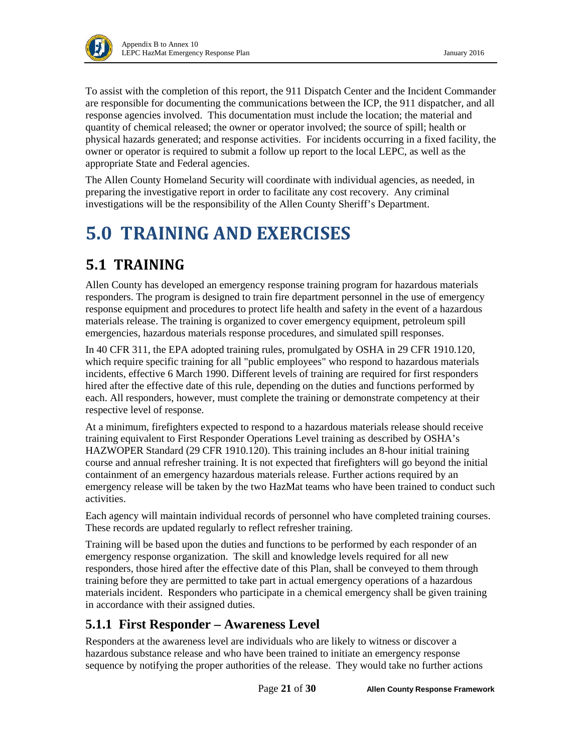

To assist with the completion of this report, the 911 Dispatch Center and the Incident Commander are responsible for documenting the communications between the ICP, the 911 dispatcher, and all response agencies involved. This documentation must include the location; the material and quantity of chemical released; the owner or operator involved; the source of spill; health or physical hazards generated; and response activities. For incidents occurring in a fixed facility, the owner or operator is required to submit a follow up report to the local LEPC, as well as the appropriate State and Federal agencies.

The Allen County Homeland Security will coordinate with individual agencies, as needed, in preparing the investigative report in order to facilitate any cost recovery. Any criminal investigations will be the responsibility of the Allen County Sheriff's Department.

# <span id="page-20-0"></span>**5.0 TRAINING AND EXERCISES**

## <span id="page-20-1"></span>**5.1 TRAINING**

Allen County has developed an emergency response training program for hazardous materials responders. The program is designed to train fire department personnel in the use of emergency response equipment and procedures to protect life health and safety in the event of a hazardous materials release. The training is organized to cover emergency equipment, petroleum spill emergencies, hazardous materials response procedures, and simulated spill responses.

In 40 CFR 311, the EPA adopted training rules, promulgated by OSHA in 29 CFR 1910.120, which require specific training for all "public employees" who respond to hazardous materials incidents, effective 6 March 1990. Different levels of training are required for first responders hired after the effective date of this rule, depending on the duties and functions performed by each. All responders, however, must complete the training or demonstrate competency at their respective level of response.

At a minimum, firefighters expected to respond to a hazardous materials release should receive training equivalent to First Responder Operations Level training as described by OSHA's HAZWOPER Standard (29 CFR 1910.120). This training includes an 8-hour initial training course and annual refresher training. It is not expected that firefighters will go beyond the initial containment of an emergency hazardous materials release. Further actions required by an emergency release will be taken by the two HazMat teams who have been trained to conduct such activities.

Each agency will maintain individual records of personnel who have completed training courses. These records are updated regularly to reflect refresher training.

Training will be based upon the duties and functions to be performed by each responder of an emergency response organization. The skill and knowledge levels required for all new responders, those hired after the effective date of this Plan, shall be conveyed to them through training before they are permitted to take part in actual emergency operations of a hazardous materials incident. Responders who participate in a chemical emergency shall be given training in accordance with their assigned duties.

#### **5.1.1 First Responder – Awareness Level**

Responders at the awareness level are individuals who are likely to witness or discover a hazardous substance release and who have been trained to initiate an emergency response sequence by notifying the proper authorities of the release. They would take no further actions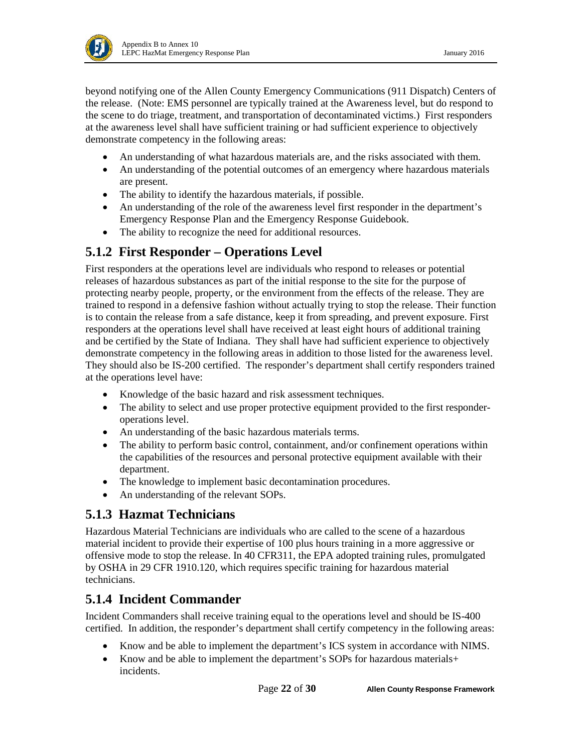

beyond notifying one of the Allen County Emergency Communications (911 Dispatch) Centers of the release. (Note: EMS personnel are typically trained at the Awareness level, but do respond to the scene to do triage, treatment, and transportation of decontaminated victims.) First responders at the awareness level shall have sufficient training or had sufficient experience to objectively demonstrate competency in the following areas:

- An understanding of what hazardous materials are, and the risks associated with them.
- An understanding of the potential outcomes of an emergency where hazardous materials are present.
- The ability to identify the hazardous materials, if possible.
- An understanding of the role of the awareness level first responder in the department's Emergency Response Plan and the Emergency Response Guidebook.
- The ability to recognize the need for additional resources.

#### **5.1.2 First Responder – Operations Level**

First responders at the operations level are individuals who respond to releases or potential releases of hazardous substances as part of the initial response to the site for the purpose of protecting nearby people, property, or the environment from the effects of the release. They are trained to respond in a defensive fashion without actually trying to stop the release. Their function is to contain the release from a safe distance, keep it from spreading, and prevent exposure. First responders at the operations level shall have received at least eight hours of additional training and be certified by the State of Indiana. They shall have had sufficient experience to objectively demonstrate competency in the following areas in addition to those listed for the awareness level. They should also be IS-200 certified. The responder's department shall certify responders trained at the operations level have:

- Knowledge of the basic hazard and risk assessment techniques.
- The ability to select and use proper protective equipment provided to the first responderoperations level.
- An understanding of the basic hazardous materials terms.
- The ability to perform basic control, containment, and/or confinement operations within the capabilities of the resources and personal protective equipment available with their department.
- The knowledge to implement basic decontamination procedures.
- An understanding of the relevant SOPs.

#### **5.1.3 Hazmat Technicians**

Hazardous Material Technicians are individuals who are called to the scene of a hazardous material incident to provide their expertise of 100 plus hours training in a more aggressive or offensive mode to stop the release. In 40 CFR311, the EPA adopted training rules, promulgated by OSHA in 29 CFR 1910.120, which requires specific training for hazardous material technicians.

#### **5.1.4 Incident Commander**

Incident Commanders shall receive training equal to the operations level and should be IS-400 certified. In addition, the responder's department shall certify competency in the following areas:

- Know and be able to implement the department's ICS system in accordance with NIMS.
- Know and be able to implement the department's SOPs for hazardous materials+ incidents.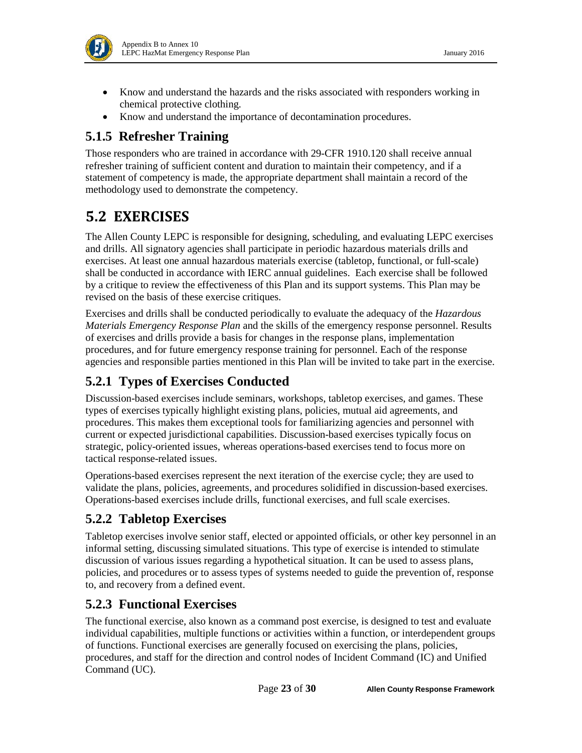- Know and understand the hazards and the risks associated with responders working in chemical protective clothing.
- Know and understand the importance of decontamination procedures.

#### **5.1.5 Refresher Training**

Those responders who are trained in accordance with 29-CFR 1910.120 shall receive annual refresher training of sufficient content and duration to maintain their competency, and if a statement of competency is made, the appropriate department shall maintain a record of the methodology used to demonstrate the competency.

## <span id="page-22-0"></span>**5.2 EXERCISES**

The Allen County LEPC is responsible for designing, scheduling, and evaluating LEPC exercises and drills. All signatory agencies shall participate in periodic hazardous materials drills and exercises. At least one annual hazardous materials exercise (tabletop, functional, or full-scale) shall be conducted in accordance with IERC annual guidelines. Each exercise shall be followed by a critique to review the effectiveness of this Plan and its support systems. This Plan may be revised on the basis of these exercise critiques.

Exercises and drills shall be conducted periodically to evaluate the adequacy of the *Hazardous Materials Emergency Response Plan* and the skills of the emergency response personnel. Results of exercises and drills provide a basis for changes in the response plans, implementation procedures, and for future emergency response training for personnel. Each of the response agencies and responsible parties mentioned in this Plan will be invited to take part in the exercise.

### **5.2.1 Types of Exercises Conducted**

Discussion-based exercises include seminars, workshops, tabletop exercises, and games. These types of exercises typically highlight existing plans, policies, mutual aid agreements, and procedures. This makes them exceptional tools for familiarizing agencies and personnel with current or expected jurisdictional capabilities. Discussion-based exercises typically focus on strategic, policy-oriented issues, whereas operations-based exercises tend to focus more on tactical response-related issues.

Operations-based exercises represent the next iteration of the exercise cycle; they are used to validate the plans, policies, agreements, and procedures solidified in discussion-based exercises. Operations-based exercises include drills, functional exercises, and full scale exercises.

### **5.2.2 Tabletop Exercises**

Tabletop exercises involve senior staff, elected or appointed officials, or other key personnel in an informal setting, discussing simulated situations. This type of exercise is intended to stimulate discussion of various issues regarding a hypothetical situation. It can be used to assess plans, policies, and procedures or to assess types of systems needed to guide the prevention of, response to, and recovery from a defined event.

#### **5.2.3 Functional Exercises**

The functional exercise, also known as a command post exercise, is designed to test and evaluate individual capabilities, multiple functions or activities within a function, or interdependent groups of functions. Functional exercises are generally focused on exercising the plans, policies, procedures, and staff for the direction and control nodes of Incident Command (IC) and Unified Command (UC).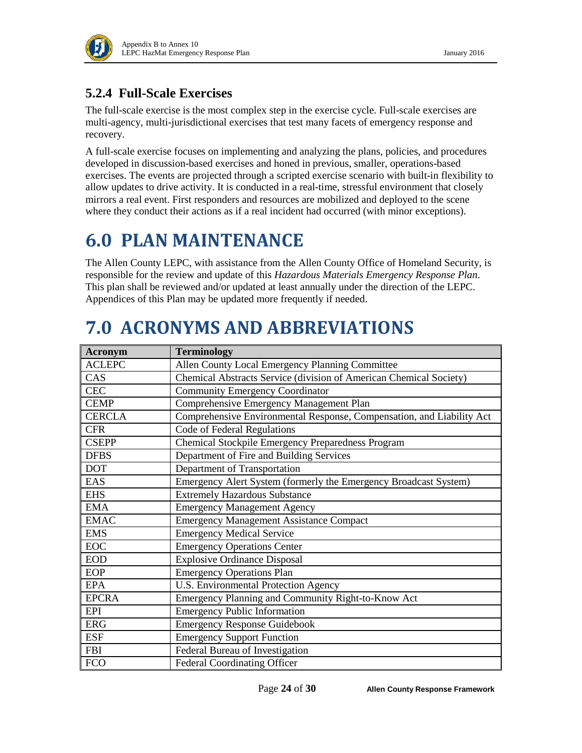

### **5.2.4 Full-Scale Exercises**

The full-scale exercise is the most complex step in the exercise cycle. Full-scale exercises are multi-agency, multi-jurisdictional exercises that test many facets of emergency response and recovery.

A full-scale exercise focuses on implementing and analyzing the plans, policies, and procedures developed in discussion-based exercises and honed in previous, smaller, operations-based exercises. The events are projected through a scripted exercise scenario with built-in flexibility to allow updates to drive activity. It is conducted in a real-time, stressful environment that closely mirrors a real event. First responders and resources are mobilized and deployed to the scene where they conduct their actions as if a real incident had occurred (with minor exceptions).

# <span id="page-23-0"></span>**6.0 PLAN MAINTENANCE**

The Allen County LEPC, with assistance from the Allen County Office of Homeland Security, is responsible for the review and update of this *Hazardous Materials Emergency Response Plan*. This plan shall be reviewed and/or updated at least annually under the direction of the LEPC. Appendices of this Plan may be updated more frequently if needed.

# <span id="page-23-1"></span>**7.0 ACRONYMS AND ABBREVIATIONS**

| Acronym           | <b>Terminology</b>                                                    |
|-------------------|-----------------------------------------------------------------------|
| <b>ACLEPC</b>     | Allen County Local Emergency Planning Committee                       |
| CAS               | Chemical Abstracts Service (division of American Chemical Society)    |
| <b>CEC</b>        | <b>Community Emergency Coordinator</b>                                |
| <b>CEMP</b>       | Comprehensive Emergency Management Plan                               |
| <b>CERCLA</b>     | Comprehensive Environmental Response, Compensation, and Liability Act |
| <b>CFR</b>        | Code of Federal Regulations                                           |
| <b>CSEPP</b>      | Chemical Stockpile Emergency Preparedness Program                     |
| <b>DFBS</b>       | Department of Fire and Building Services                              |
| <b>DOT</b>        | Department of Transportation                                          |
| EAS               | Emergency Alert System (formerly the Emergency Broadcast System)      |
| <b>EHS</b>        | <b>Extremely Hazardous Substance</b>                                  |
| <b>EMA</b>        | <b>Emergency Management Agency</b>                                    |
| <b>EMAC</b>       | <b>Emergency Management Assistance Compact</b>                        |
| <b>EMS</b>        | <b>Emergency Medical Service</b>                                      |
| $_{\mathrm{EOC}}$ | <b>Emergency Operations Center</b>                                    |
| <b>EOD</b>        | <b>Explosive Ordinance Disposal</b>                                   |
| <b>EOP</b>        | <b>Emergency Operations Plan</b>                                      |
| <b>EPA</b>        | <b>U.S. Environmental Protection Agency</b>                           |
| <b>EPCRA</b>      | Emergency Planning and Community Right-to-Know Act                    |
| <b>EPI</b>        | <b>Emergency Public Information</b>                                   |
| <b>ERG</b>        | <b>Emergency Response Guidebook</b>                                   |
| <b>ESF</b>        | <b>Emergency Support Function</b>                                     |
| <b>FBI</b>        | Federal Bureau of Investigation                                       |
| <b>FCO</b>        | <b>Federal Coordinating Officer</b>                                   |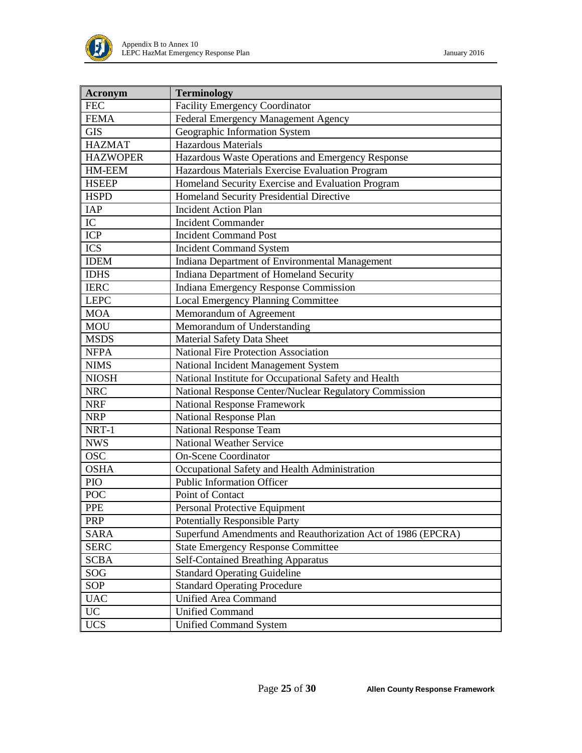

| <b>Acronym</b>  | <b>Terminology</b>                                           |
|-----------------|--------------------------------------------------------------|
| <b>FEC</b>      | <b>Facility Emergency Coordinator</b>                        |
| <b>FEMA</b>     | Federal Emergency Management Agency                          |
| <b>GIS</b>      | Geographic Information System                                |
| <b>HAZMAT</b>   | <b>Hazardous Materials</b>                                   |
| <b>HAZWOPER</b> | Hazardous Waste Operations and Emergency Response            |
| HM-EEM          | Hazardous Materials Exercise Evaluation Program              |
| <b>HSEEP</b>    | Homeland Security Exercise and Evaluation Program            |
| <b>HSPD</b>     | Homeland Security Presidential Directive                     |
| IAP             | <b>Incident Action Plan</b>                                  |
| ${\rm IC}$      | <b>Incident Commander</b>                                    |
| <b>ICP</b>      | <b>Incident Command Post</b>                                 |
| <b>ICS</b>      | <b>Incident Command System</b>                               |
| <b>IDEM</b>     | Indiana Department of Environmental Management               |
| <b>IDHS</b>     | Indiana Department of Homeland Security                      |
| <b>IERC</b>     | Indiana Emergency Response Commission                        |
| <b>LEPC</b>     | <b>Local Emergency Planning Committee</b>                    |
| <b>MOA</b>      | Memorandum of Agreement                                      |
| <b>MOU</b>      | Memorandum of Understanding                                  |
| <b>MSDS</b>     | <b>Material Safety Data Sheet</b>                            |
| <b>NFPA</b>     | National Fire Protection Association                         |
| <b>NIMS</b>     | National Incident Management System                          |
| <b>NIOSH</b>    | National Institute for Occupational Safety and Health        |
| <b>NRC</b>      | National Response Center/Nuclear Regulatory Commission       |
| <b>NRF</b>      | <b>National Response Framework</b>                           |
| <b>NRP</b>      | <b>National Response Plan</b>                                |
| NRT-1           | National Response Team                                       |
| <b>NWS</b>      | <b>National Weather Service</b>                              |
| <b>OSC</b>      | <b>On-Scene Coordinator</b>                                  |
| <b>OSHA</b>     | Occupational Safety and Health Administration                |
| PIO             | <b>Public Information Officer</b>                            |
| <b>POC</b>      | Point of Contact                                             |
| <b>PPE</b>      | Personal Protective Equipment                                |
| <b>PRP</b>      | <b>Potentially Responsible Party</b>                         |
| <b>SARA</b>     | Superfund Amendments and Reauthorization Act of 1986 (EPCRA) |
| <b>SERC</b>     | <b>State Emergency Response Committee</b>                    |
| <b>SCBA</b>     | <b>Self-Contained Breathing Apparatus</b>                    |
| <b>SOG</b>      | <b>Standard Operating Guideline</b>                          |
| SOP             | <b>Standard Operating Procedure</b>                          |
| <b>UAC</b>      | <b>Unified Area Command</b>                                  |
| <b>UC</b>       | <b>Unified Command</b>                                       |
| <b>UCS</b>      | <b>Unified Command System</b>                                |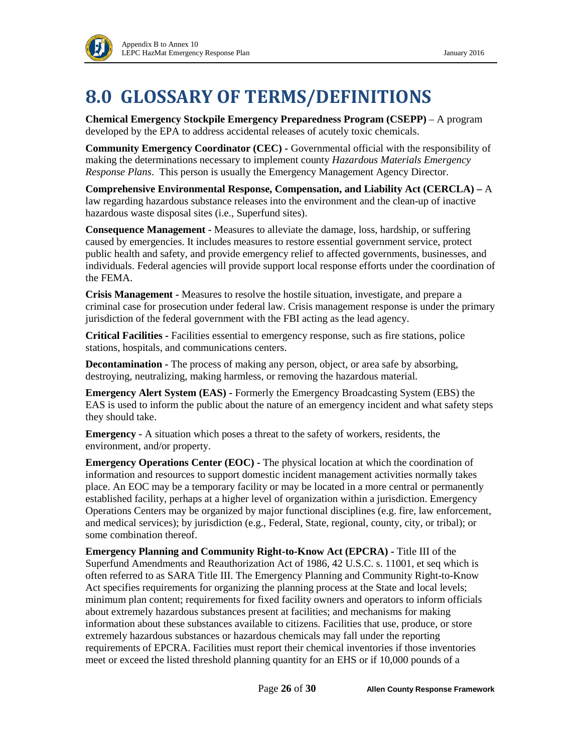

# <span id="page-25-0"></span>**8.0 GLOSSARY OF TERMS/DEFINITIONS**

**Chemical Emergency Stockpile Emergency Preparedness Program (CSEPP)** – A program developed by the EPA to address accidental releases of acutely toxic chemicals.

**Community Emergency Coordinator (CEC) -** Governmental official with the responsibility of making the determinations necessary to implement county *Hazardous Materials Emergency Response Plans*. This person is usually the Emergency Management Agency Director.

**Comprehensive Environmental Response, Compensation, and Liability Act (CERCLA) –** A law regarding hazardous substance releases into the environment and the clean-up of inactive hazardous waste disposal sites (i.e., Superfund sites).

**Consequence Management -** Measures to alleviate the damage, loss, hardship, or suffering caused by emergencies. It includes measures to restore essential government service, protect public health and safety, and provide emergency relief to affected governments, businesses, and individuals. Federal agencies will provide support local response efforts under the coordination of the FEMA.

**Crisis Management -** Measures to resolve the hostile situation, investigate, and prepare a criminal case for prosecution under federal law. Crisis management response is under the primary jurisdiction of the federal government with the FBI acting as the lead agency.

**Critical Facilities -** Facilities essential to emergency response, such as fire stations, police stations, hospitals, and communications centers.

**Decontamination -** The process of making any person, object, or area safe by absorbing, destroying, neutralizing, making harmless, or removing the hazardous material.

**Emergency Alert System (EAS) -** Formerly the Emergency Broadcasting System (EBS) the EAS is used to inform the public about the nature of an emergency incident and what safety steps they should take.

**Emergency -** A situation which poses a threat to the safety of workers, residents, the environment, and/or property.

**Emergency Operations Center (EOC) -** The physical location at which the coordination of information and resources to support domestic incident management activities normally takes place. An EOC may be a temporary facility or may be located in a more central or permanently established facility, perhaps at a higher level of organization within a jurisdiction. Emergency Operations Centers may be organized by major functional disciplines (e.g. fire, law enforcement, and medical services); by jurisdiction (e.g., Federal, State, regional, county, city, or tribal); or some combination thereof.

**Emergency Planning and Community Right-to-Know Act (EPCRA) -** Title III of the Superfund Amendments and Reauthorization Act of 1986, 42 U.S.C. s. 11001, et seq which is often referred to as SARA Title III. The Emergency Planning and Community Right-to-Know Act specifies requirements for organizing the planning process at the State and local levels; minimum plan content; requirements for fixed facility owners and operators to inform officials about extremely hazardous substances present at facilities; and mechanisms for making information about these substances available to citizens. Facilities that use, produce, or store extremely hazardous substances or hazardous chemicals may fall under the reporting requirements of EPCRA. Facilities must report their chemical inventories if those inventories meet or exceed the listed threshold planning quantity for an EHS or if 10,000 pounds of a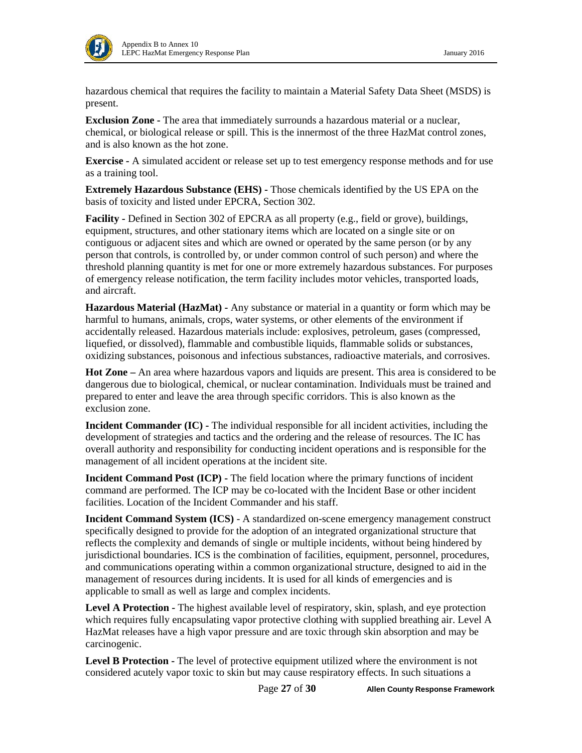

hazardous chemical that requires the facility to maintain a Material Safety Data Sheet (MSDS) is present.

**Exclusion Zone -** The area that immediately surrounds a hazardous material or a nuclear, chemical, or biological release or spill. This is the innermost of the three HazMat control zones, and is also known as the hot zone.

**Exercise -** A simulated accident or release set up to test emergency response methods and for use as a training tool.

**Extremely Hazardous Substance (EHS) -** Those chemicals identified by the US EPA on the basis of toxicity and listed under EPCRA, Section 302.

**Facility -** Defined in Section 302 of EPCRA as all property (e.g., field or grove), buildings, equipment, structures, and other stationary items which are located on a single site or on contiguous or adjacent sites and which are owned or operated by the same person (or by any person that controls, is controlled by, or under common control of such person) and where the threshold planning quantity is met for one or more extremely hazardous substances. For purposes of emergency release notification, the term facility includes motor vehicles, transported loads, and aircraft.

**Hazardous Material (HazMat) -** Any substance or material in a quantity or form which may be harmful to humans, animals, crops, water systems, or other elements of the environment if accidentally released. Hazardous materials include: explosives, petroleum, gases (compressed, liquefied, or dissolved), flammable and combustible liquids, flammable solids or substances, oxidizing substances, poisonous and infectious substances, radioactive materials, and corrosives.

**Hot Zone –** An area where hazardous vapors and liquids are present. This area is considered to be dangerous due to biological, chemical, or nuclear contamination. Individuals must be trained and prepared to enter and leave the area through specific corridors. This is also known as the exclusion zone.

**Incident Commander (IC) -** The individual responsible for all incident activities, including the development of strategies and tactics and the ordering and the release of resources. The IC has overall authority and responsibility for conducting incident operations and is responsible for the management of all incident operations at the incident site.

**Incident Command Post (ICP) -** The field location where the primary functions of incident command are performed. The ICP may be co-located with the Incident Base or other incident facilities. Location of the Incident Commander and his staff.

**Incident Command System (ICS)** - A standardized on-scene emergency management construct specifically designed to provide for the adoption of an integrated organizational structure that reflects the complexity and demands of single or multiple incidents, without being hindered by jurisdictional boundaries. ICS is the combination of facilities, equipment, personnel, procedures, and communications operating within a common organizational structure, designed to aid in the management of resources during incidents. It is used for all kinds of emergencies and is applicable to small as well as large and complex incidents.

**Level A Protection -** The highest available level of respiratory, skin, splash, and eye protection which requires fully encapsulating vapor protective clothing with supplied breathing air. Level A HazMat releases have a high vapor pressure and are toxic through skin absorption and may be carcinogenic.

**Level B Protection -** The level of protective equipment utilized where the environment is not considered acutely vapor toxic to skin but may cause respiratory effects. In such situations a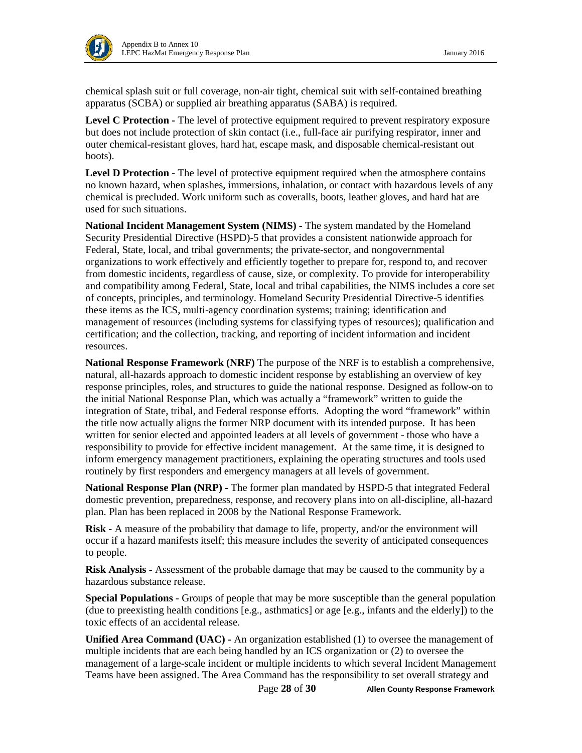

chemical splash suit or full coverage, non-air tight, chemical suit with self-contained breathing apparatus (SCBA) or supplied air breathing apparatus (SABA) is required.

**Level C Protection -** The level of protective equipment required to prevent respiratory exposure but does not include protection of skin contact (i.e., full-face air purifying respirator, inner and outer chemical-resistant gloves, hard hat, escape mask, and disposable chemical-resistant out boots).

**Level D Protection -** The level of protective equipment required when the atmosphere contains no known hazard, when splashes, immersions, inhalation, or contact with hazardous levels of any chemical is precluded. Work uniform such as coveralls, boots, leather gloves, and hard hat are used for such situations.

**National Incident Management System (NIMS) -** The system mandated by the Homeland Security Presidential Directive (HSPD)-5 that provides a consistent nationwide approach for Federal, State, local, and tribal governments; the private-sector, and nongovernmental organizations to work effectively and efficiently together to prepare for, respond to, and recover from domestic incidents, regardless of cause, size, or complexity. To provide for interoperability and compatibility among Federal, State, local and tribal capabilities, the NIMS includes a core set of concepts, principles, and terminology. Homeland Security Presidential Directive-5 identifies these items as the ICS, multi-agency coordination systems; training; identification and management of resources (including systems for classifying types of resources); qualification and certification; and the collection, tracking, and reporting of incident information and incident resources.

**National Response Framework (NRF)** The purpose of the NRF is to establish a comprehensive, natural, all-hazards approach to domestic incident response by establishing an overview of key response principles, roles, and structures to guide the national response. Designed as follow-on to the initial National Response Plan, which was actually a "framework" written to guide the integration of State, tribal, and Federal response efforts. Adopting the word "framework" within the title now actually aligns the former NRP document with its intended purpose. It has been written for senior elected and appointed leaders at all levels of government - those who have a responsibility to provide for effective incident management. At the same time, it is designed to inform emergency management practitioners, explaining the operating structures and tools used routinely by first responders and emergency managers at all levels of government.

**National Response Plan (NRP) -** The former plan mandated by HSPD-5 that integrated Federal domestic prevention, preparedness, response, and recovery plans into on all-discipline, all-hazard plan. Plan has been replaced in 2008 by the National Response Framework.

**Risk -** A measure of the probability that damage to life, property, and/or the environment will occur if a hazard manifests itself; this measure includes the severity of anticipated consequences to people.

**Risk Analysis -** Assessment of the probable damage that may be caused to the community by a hazardous substance release.

**Special Populations -** Groups of people that may be more susceptible than the general population (due to preexisting health conditions [e.g., asthmatics] or age [e.g., infants and the elderly]) to the toxic effects of an accidental release.

**Unified Area Command (UAC) -** An organization established (1) to oversee the management of multiple incidents that are each being handled by an ICS organization or (2) to oversee the management of a large-scale incident or multiple incidents to which several Incident Management Teams have been assigned. The Area Command has the responsibility to set overall strategy and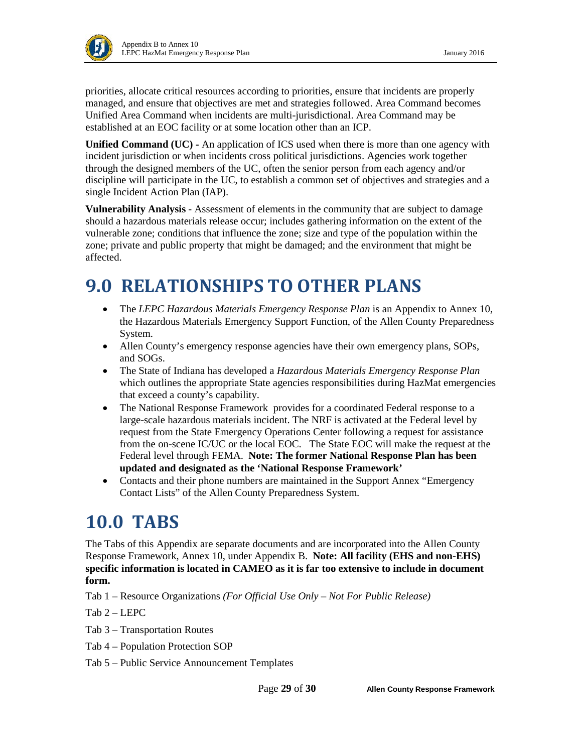priorities, allocate critical resources according to priorities, ensure that incidents are properly managed, and ensure that objectives are met and strategies followed. Area Command becomes Unified Area Command when incidents are multi-jurisdictional. Area Command may be established at an EOC facility or at some location other than an ICP.

**Unified Command (UC) -** An application of ICS used when there is more than one agency with incident jurisdiction or when incidents cross political jurisdictions. Agencies work together through the designed members of the UC, often the senior person from each agency and/or discipline will participate in the UC, to establish a common set of objectives and strategies and a single Incident Action Plan (IAP).

**Vulnerability Analysis -** Assessment of elements in the community that are subject to damage should a hazardous materials release occur; includes gathering information on the extent of the vulnerable zone; conditions that influence the zone; size and type of the population within the zone; private and public property that might be damaged; and the environment that might be affected.

# <span id="page-28-0"></span>**9.0 RELATIONSHIPS TO OTHER PLANS**

- The *LEPC Hazardous Materials Emergency Response Plan* is an Appendix to Annex 10, the Hazardous Materials Emergency Support Function, of the Allen County Preparedness System.
- Allen County's emergency response agencies have their own emergency plans, SOPs, and SOGs.
- The State of Indiana has developed a *Hazardous Materials Emergency Response Plan* which outlines the appropriate State agencies responsibilities during HazMat emergencies that exceed a county's capability.
- The National Response Framework provides for a coordinated Federal response to a large-scale hazardous materials incident. The NRF is activated at the Federal level by request from the State Emergency Operations Center following a request for assistance from the on-scene IC/UC or the local EOC. The State EOC will make the request at the Federal level through FEMA. **Note: The former National Response Plan has been updated and designated as the 'National Response Framework'**
- Contacts and their phone numbers are maintained in the Support Annex "Emergency" Contact Lists" of the Allen County Preparedness System.

# <span id="page-28-1"></span>**10.0 TABS**

The Tabs of this Appendix are separate documents and are incorporated into the Allen County Response Framework, Annex 10, under Appendix B. **Note: All facility (EHS and non-EHS) specific information is located in CAMEO as it is far too extensive to include in document form.**

Tab 1 – Resource Organizations *(For Official Use Only – Not For Public Release)*

Tab 2 – LEPC

Tab 3 – Transportation Routes

Tab 4 – Population Protection SOP

Tab 5 – Public Service Announcement Templates